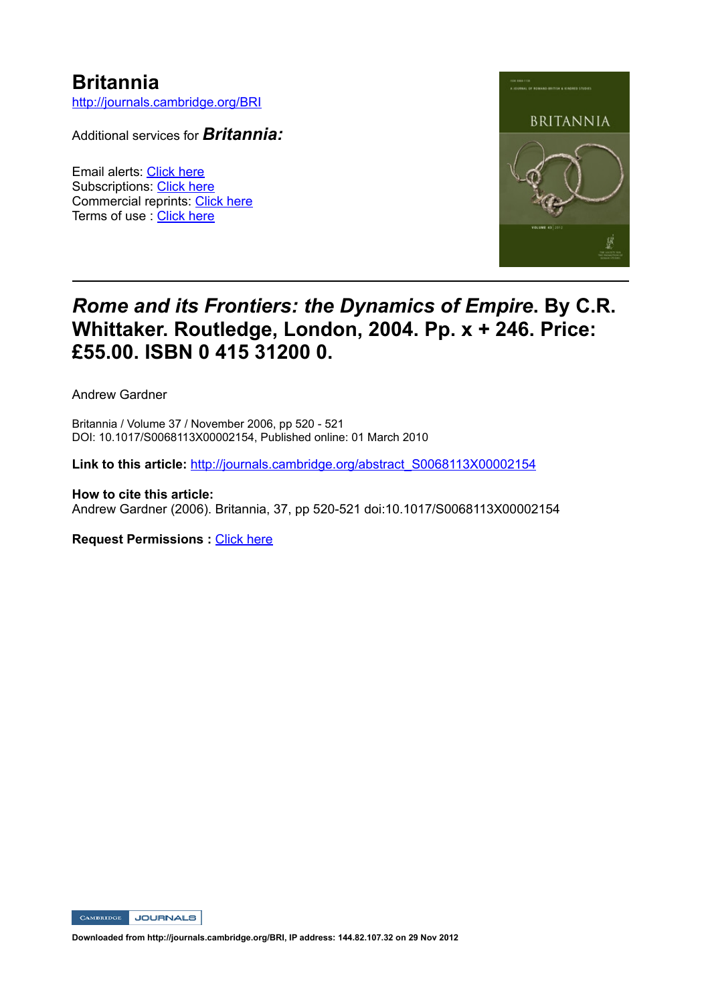## **Britannia**

http://journals.cambridge.org/BRI

Additional services for *Britannia:*

Email alerts: Click here Subscriptions: Click here Commercial reprints: Click here Terms of use : Click here



## *Rome and its Frontiers: the Dynamics of Empire***. By C.R. Whittaker. Routledge, London, 2004. Pp. x + 246. Price: £55.00. ISBN 0 415 31200 0.**

Andrew Gardner

Britannia / Volume 37 / November 2006, pp 520 - 521 DOI: 10.1017/S0068113X00002154, Published online: 01 March 2010

**Link to this article:** http://journals.cambridge.org/abstract\_S0068113X00002154

**How to cite this article:** Andrew Gardner (2006). Britannia, 37, pp 520-521 doi:10.1017/S0068113X00002154

**Request Permissions :** Click here

CAMBRIDGE JOURNALS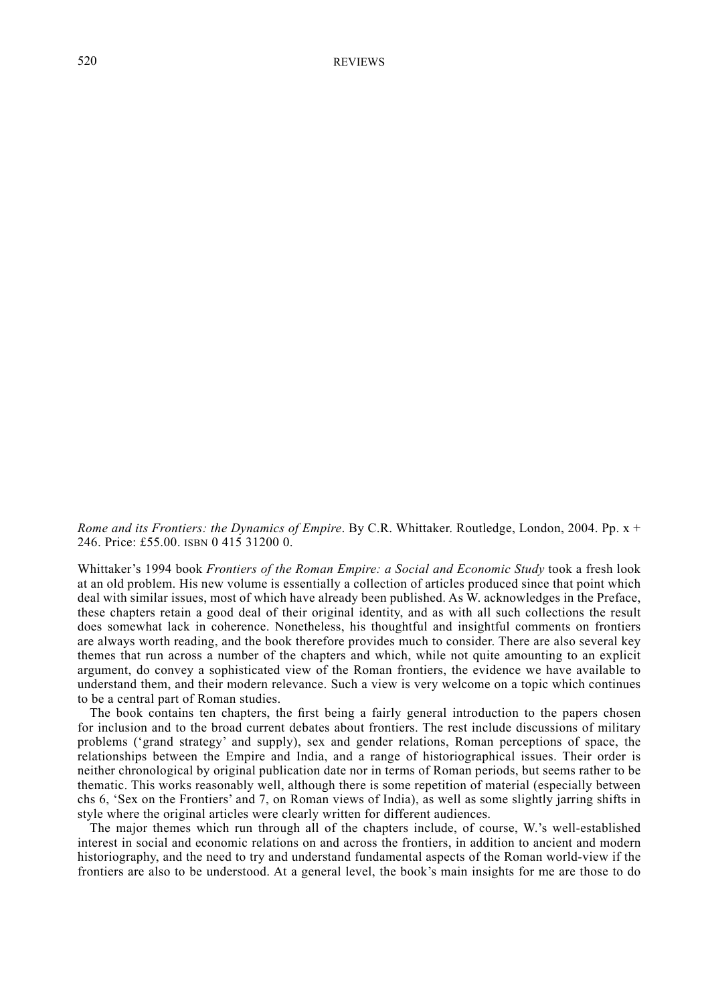**REVIEWS** 

Rome and its Frontiers: the Dynamics of Empire. By C.R. Whittaker. Routledge, London, 2004. Pp.  $x +$ 246. Price: £55.00. ISBN 0 415 31200 0.

Whittaker's 1994 book Frontiers of the Roman Empire: a Social and Economic Study took a fresh look at an old problem. His new volume is essentially a collection of articles produced since that point which deal with similar issues, most of which have already been published. As W, acknowledges in the Preface, these chapters retain a good deal of their original identity, and as with all such collections the result does somewhat lack in coherence. Nonetheless, his thoughtful and insightful comments on frontiers are always worth reading, and the book therefore provides much to consider. There are also several key themes that run across a number of the chapters and which, while not quite amounting to an explicit argument, do convey a sophisticated view of the Roman frontiers, the evidence we have available to understand them, and their modern relevance. Such a view is very welcome on a topic which continues to be a central part of Roman studies.

The book contains ten chapters, the first being a fairly general introduction to the papers chosen for inclusion and to the broad current debates about frontiers. The rest include discussions of military problems ('grand strategy' and supply), sex and gender relations, Roman perceptions of space, the relationships between the Empire and India, and a range of historiographical issues. Their order is neither chronological by original publication date nor in terms of Roman periods, but seems rather to be thematic. This works reasonably well, although there is some repetition of material (especially between chs 6, 'Sex on the Frontiers' and 7, on Roman views of India), as well as some slightly jarring shifts in style where the original articles were clearly written for different audiences.

The major themes which run through all of the chapters include, of course, W.'s well-established interest in social and economic relations on and across the frontiers, in addition to ancient and modern historiography, and the need to try and understand fundamental aspects of the Roman world-view if the frontiers are also to be understood. At a general level, the book's main insights for me are those to do